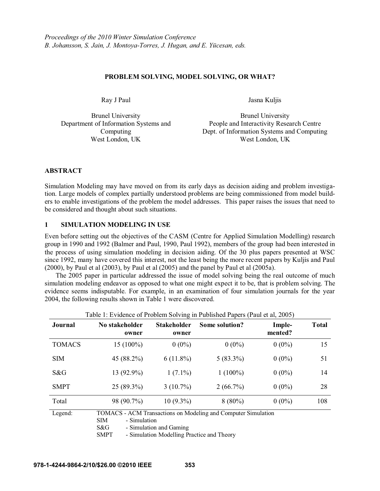#### **PROBLEM SOLVING, MODEL SOLVING, OR WHAT?**

Ray J Paul Jasna Kuljis

Brunel University Department of Information Systems and Computing

Brunel University People and Interactivity Research Centre Dept. of Information Systems and Computing West London, UK West London, UK

# **ABSTRACT**

Simulation Modeling may have moved on from its early days as decision aiding and problem investigation. Large models of complex partially understood problems are being commissioned from model builders to enable investigations of the problem the model addresses. This paper raises the issues that need to be considered and thought about such situations.

# **1 SIMULATION MODELING IN USE**

Even before setting out the objectives of the CASM (Centre for Applied Simulation Modelling) research group in 1990 and 1992 (Balmer and Paul, 1990, Paul 1992), members of the group had been interested in the process of using simulation modeling in decision aiding. Of the 30 plus papers presented at WSC since 1992, many have covered this interest, not the least being the more recent papers by Kuljis and Paul (2000), by Paul et al (2003), by Paul et al (2005) and the panel by Paul et al (2005a).

The 2005 paper in particular addressed the issue of model solving being the real outcome of much simulation modeling endeavor as opposed to what one might expect it to be, that is problem solving. The evidence seems indisputable. For example, in an examination of four simulation journals for the year 2004, the following results shown in Table 1 were discovered.

| Twore 1: Let Rechee of TToorem Borthing in T aononed T apens (T aut et al., 2003) |                            |                             |                                                               |                   |              |
|-----------------------------------------------------------------------------------|----------------------------|-----------------------------|---------------------------------------------------------------|-------------------|--------------|
| <b>Journal</b>                                                                    | No stakeholder<br>owner    | <b>Stakeholder</b><br>owner | Some solution?                                                | Imple-<br>mented? | <b>Total</b> |
| <b>TOMACS</b>                                                                     | $15(100\%)$                | $0(0\%)$                    | $0(0\%)$                                                      | $0(0\%)$          | 15           |
| <b>SIM</b>                                                                        | 45 (88.2%)                 | $6(11.8\%)$                 | $5(83.3\%)$                                                   | $0(0\%)$          | 51           |
| S&G                                                                               | 13 (92.9%)                 | $1(7.1\%)$                  | $1(100\%)$                                                    | $0(0\%)$          | 14           |
| <b>SMPT</b>                                                                       | 25 (89.3%)                 | $3(10.7\%)$                 | $2(66.7\%)$                                                   | $0(0\%)$          | 28           |
| Total                                                                             | 98 (90.7%)                 | $10(9.3\%)$                 | $8(80\%)$                                                     | $0(0\%)$          | 108          |
| Legend:                                                                           | - Simulation<br><b>SIM</b> |                             | TOMACS - ACM Transactions on Modeling and Computer Simulation |                   |              |

Table 1: Evidence of Problem Solving in Published Papers (Paul et al, 2005)

S&G - Simulation and Gaming

SMPT - Simulation Modelling Practice and Theory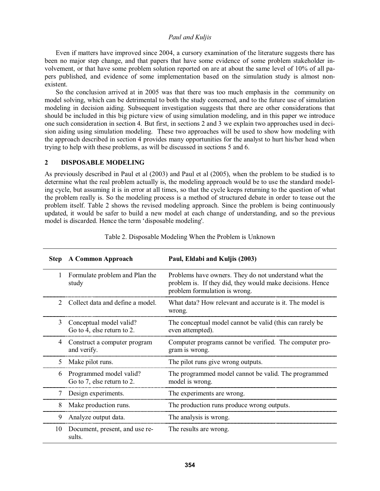Even if matters have improved since 2004, a cursory examination of the literature suggests there has been no major step change, and that papers that have some evidence of some problem stakeholder involvement, or that have some problem solution reported on are at about the same level of 10% of all papers published, and evidence of some implementation based on the simulation study is almost nonexistent.

So the conclusion arrived at in 2005 was that there was too much emphasis in the community on model solving, which can be detrimental to both the study concerned, and to the future use of simulation modeling in decision aiding. Subsequent investigation suggests that there are other considerations that should be included in this big picture view of using simulation modeling, and in this paper we introduce one such consideration in section 4. But first, in sections 2 and 3 we explain two approaches used in decision aiding using simulation modeling. These two approaches will be used to show how modeling with the approach described in section 4 provides many opportunities for the analyst to hurt his/her head when trying to help with these problems, as will be discussed in sections 5 and 6.

# **2 DISPOSABLE MODELING**

As previously described in Paul et al (2003) and Paul et al (2005), when the problem to be studied is to determine what the real problem actually is, the modeling approach would be to use the standard modeling cycle, but assuming it is in error at all times, so that the cycle keeps returning to the question of what the problem really is. So the modeling process is a method of structured debate in order to tease out the problem itself. Table 2 shows the revised modeling approach. Since the problem is being continuously updated, it would be safer to build a new model at each change of understanding, and so the previous model is discarded. Hence the term 'disposable modeling'.

| <b>Step</b>                 | <b>A Common Approach</b>                              | Paul, Eldabi and Kuljis (2003)                                                                                                                      |  |
|-----------------------------|-------------------------------------------------------|-----------------------------------------------------------------------------------------------------------------------------------------------------|--|
| 1                           | Formulate problem and Plan the<br>study               | Problems have owners. They do not understand what the<br>problem is. If they did, they would make decisions. Hence<br>problem formulation is wrong. |  |
| $\mathcal{D}_{\mathcal{L}}$ | Collect data and define a model.                      | What data? How relevant and accurate is it. The model is<br>wrong.                                                                                  |  |
| 3                           | Conceptual model valid?<br>Go to 4, else return to 2. | The conceptual model cannot be valid (this can rarely be<br>even attempted).                                                                        |  |
| 4                           | Construct a computer program<br>and verify.           | Computer programs cannot be verified. The computer pro-<br>gram is wrong.                                                                           |  |
| 5                           | Make pilot runs.                                      | The pilot runs give wrong outputs.                                                                                                                  |  |
| 6                           | Programmed model valid?<br>Go to 7, else return to 2. | The programmed model cannot be valid. The programmed<br>model is wrong.                                                                             |  |
| 7                           | Design experiments.                                   | The experiments are wrong.                                                                                                                          |  |
| 8                           | Make production runs.                                 | The production runs produce wrong outputs.                                                                                                          |  |
| 9                           | Analyze output data.                                  | The analysis is wrong.                                                                                                                              |  |
| 10                          | Document, present, and use re-<br>sults.              | The results are wrong.                                                                                                                              |  |

Table 2. Disposable Modeling When the Problem is Unknown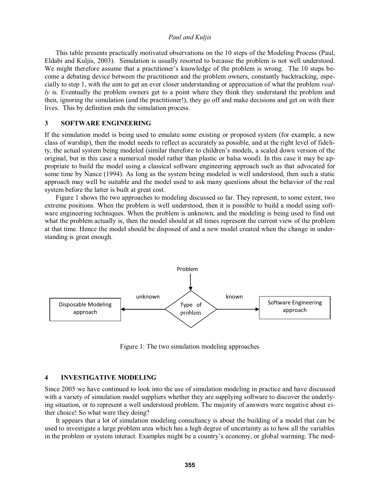This table presents practically motivated observations on the 10 steps of the Modeling Process (Paul, Eldabi and Kuljis, 2003). Simulation is usually resorted to because the problem is not well understood. We might therefore assume that a practitioner's knowledge of the problem is wrong. The 10 steps become a debating device between the practitioner and the problem owners, constantly backtracking, especially to step 1, with the aim to get an ever closer understanding or appreciation of what the problem *really* is. Eventually the problem owners get to a point where they think they understand the problem and then, ignoring the simulation (and the practitioner!), they go off and make decisions and get on with their lives. This by definition ends the simulation process.

# **3 SOFTWARE ENGINEERING**

If the simulation model is being used to emulate some existing or proposed system (for example, a new class of warship), then the model needs to reflect as accurately as possible, and at the right level of fidelity, the actual system being modeled (similar therefore to children's models, a scaled down version of the original, but in this case a numerical model rather than plastic or balsa wood). In this case it may be appropriate to build the model using a classical software engineering approach such as that advocated for some time by Nance (1994). As long as the system being modeled is well understood, then such a static approach may well be suitable and the model used to ask many questions about the behavior of the real system before the latter is built at great cost.

Figure 1 shows the two approaches to modeling discussed so far. They represent, to some extent, two extreme positions. When the problem is well understood, then it is possible to build a model using software engineering techniques. When the problem is unknown, and the modeling is being used to find out what the problem actually is, then the model should at all times represent the current view of the problem at that time. Hence the model should be disposed of and a new model created when the change in understanding is great enough.



Figure 1: The two simulation modeling approaches

#### **4 INVESTIGATIVE MODELING**

Since 2005 we have continued to look into the use of simulation modeling in practice and have discussed with a variety of simulation model suppliers whether they are supplying software to discover the underlying situation, or to represent a well understood problem. The majority of answers were negative about either choice! So what were they doing?

It appears that a lot of simulation modeling consultancy is about the building of a model that can be used to investigate a large problem area which has a high degree of uncertainty as to how all the variables in the problem or system interact. Examples might be a country's economy, or global warming. The mod-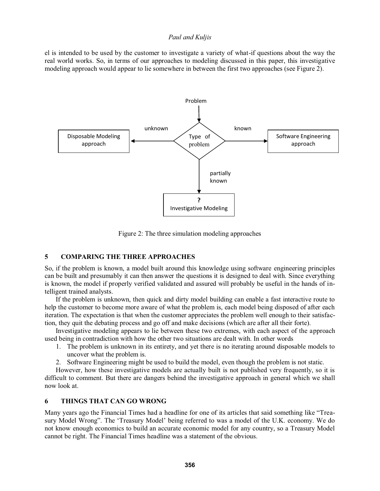el is intended to be used by the customer to investigate a variety of what-if questions about the way the real world works. So, in terms of our approaches to modeling discussed in this paper, this investigative modeling approach would appear to lie somewhere in between the first two approaches (see Figure 2).



Figure 2: The three simulation modeling approaches

#### **5 COMPARING THE THREE APPROACHES**

So, if the problem is known, a model built around this knowledge using software engineering principles can be built and presumably it can then answer the questions it is designed to deal with. Since everything is known, the model if properly verified validated and assured will probably be useful in the hands of intelligent trained analysts.

If the problem is unknown, then quick and dirty model building can enable a fast interactive route to help the customer to become more aware of what the problem is, each model being disposed of after each iteration. The expectation is that when the customer appreciates the problem well enough to their satisfaction, they quit the debating process and go off and make decisions (which are after all their forte).

Investigative modeling appears to lie between these two extremes, with each aspect of the approach used being in contradiction with how the other two situations are dealt with. In other words

- 1. The problem is unknown in its entirety, and yet there is no iterating around disposable models to uncover what the problem is.
- 2. Software Engineering might be used to build the model, even though the problem is not static.

However, how these investigative models are actually built is not published very frequently, so it is difficult to comment. But there are dangers behind the investigative approach in general which we shall now look at.

#### **6 THINGS THAT CAN GO WRONG**

Many years ago the Financial Times had a headline for one of its articles that said something like "Treasury Model Wrong". The 'Treasury Model' being referred to was a model of the U.K. economy. We do not know enough economics to build an accurate economic model for any country, so a Treasury Model cannot be right. The Financial Times headline was a statement of the obvious.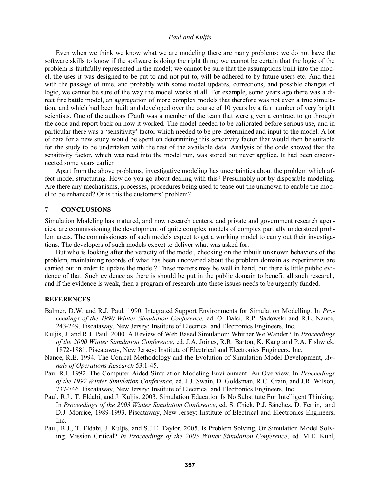Even when we think we know what we are modeling there are many problems: we do not have the software skills to know if the software is doing the right thing; we cannot be certain that the logic of the problem is faithfully represented in the model; we cannot be sure that the assumptions built into the model, the uses it was designed to be put to and not put to, will be adhered to by future users etc. And then with the passage of time, and probably with some model updates, corrections, and possible changes of logic, we cannot be sure of the way the model works at all. For example, some years ago there was a direct fire battle model, an aggregation of more complex models that therefore was not even a true simulation, and which had been built and developed over the course of 10 years by a fair number of very bright scientists. One of the authors (Paul) was a member of the team that were given a contract to go through the code and report back on how it worked. The model needed to be calibrated before serious use, and in particular there was a 'sensitivity' factor which needed to be pre-determined and input to the model. A lot of data for a new study would be spent on determining this sensitivity factor that would then be suitable for the study to be undertaken with the rest of the available data. Analysis of the code showed that the sensitivity factor, which was read into the model run, was stored but never applied. It had been disconnected some years earlier!

Apart from the above problems, investigative modeling has uncertainties about the problem which affect model structuring. How do you go about dealing with this? Presumably not by disposable modeling. Are there any mechanisms, processes, procedures being used to tease out the unknown to enable the mod el to be enhanced? Or is this the customers' problem?

#### **7 CONCLUSIONS**

Simulation Modeling has matured, and now research centers, and private and government research agencies, are commissioning the development of quite complex models of complex partially understood problem areas. The commissioners of such models expect to get a working model to carry out their investigations. The developers of such models expect to deliver what was asked for.

But who is looking after the veracity of the model, checking on the inbuilt unknown behaviors of the problem, maintaining records of what has been uncovered about the problem domain as experiments are carried out in order to update the model? These matters may be well in hand, but there is little public evidence of that. Such evidence as there is should be put in the public domain to benefit all such research, and if the evidence is weak, then a program of research into these issues needs to be urgently funded.

#### **REFERENCES**

- Balmer, D.W. and R.J. Paul. 1990. Integrated Support Environments for Simulation Modelling. In *Proceedings of the 1990 Winter Simulation Conference,* ed. O. Balci, R.P. Sadowski and R.E. Nance, 243-249. Piscataway, New Jersey: Institute of Electrical and Electronics Engineers, Inc.
- Kuljis, J. and R.J. Paul. 2000. A Review of Web Based Simulation: Whither We Wander? In *Proceedings of the 2000 Winter Simulation Conference*, ed. J.A. Joines, R.R. Barton, K. Kang and P.A. Fishwick, 1872-1881. Piscataway, New Jersey: Institute of Electrical and Electronics Engineers, Inc.
- Nance, R.E. 1994. The Conical Methodology and the Evolution of Simulation Model Development, *Annals of Operations Research* 53:1-45.
- Paul R.J. 1992. The Computer Aided Simulation Modeling Environment: An Overview. In *Proceedings of the 1992 Winter Simulation Conference*, ed. J.J. Swain, D. Goldsman, R.C. Crain, and J.R. Wilson, 737-746. Piscataway, New Jersey: Institute of Electrical and Electronics Engineers, Inc.
- Paul, R.J., T. Eldabi, and J. Kuljis. 2003. Simulation Education Is No Substitute For Intelligent Thinking. In *Proceedings of the 2003 Winter Simulation Conference*, ed. S. Chick, P.J. Sánchez, D. Ferrin, and D.J. Morrice, 1989-1993. Piscataway, New Jersey: Institute of Electrical and Electronics Engineers, Inc.
- Paul, R.J., T. Eldabi, J. Kuljis, and S.J.E. Taylor. 2005. Is Problem Solving, Or Simulation Model Solving, Mission Critical? *In Proceedings of the 2005 Winter Simulation Conference*, ed. M.E. Kuhl,